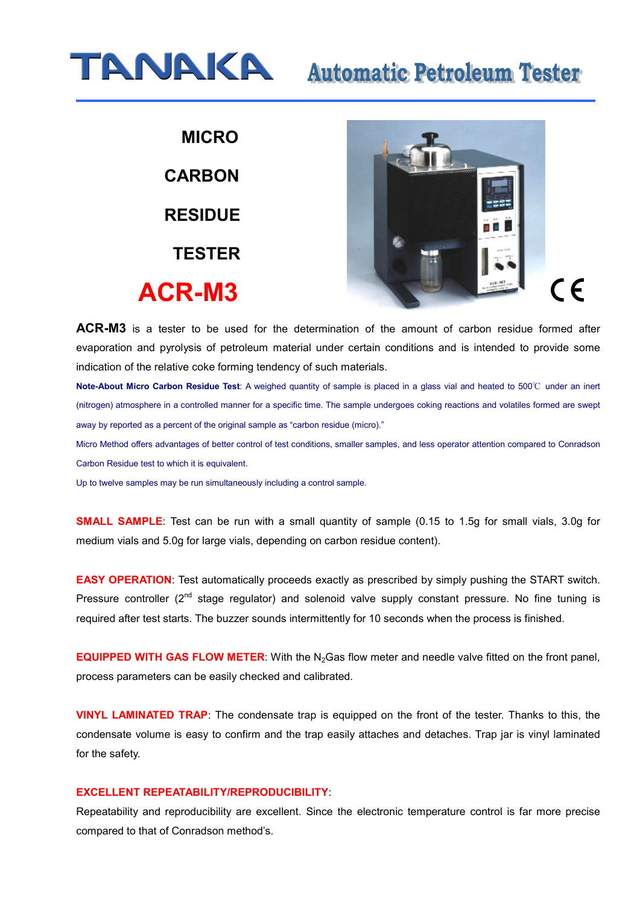

 **MICRO CARBON RESIDUE TESTER ACR-M3**



**ACR-M3** is a tester to be used for the determination of the amount of carbon residue formed after evaporation and pyrolysis of petroleum material under certain conditions and is intended to provide some indication of the relative coke forming tendency of such materials.

**Note-About Micro Carbon Residue Test**: A weighed quantity of sample is placed in a glass vial and heated to 500℃ under an inert (nitrogen) atmosphere in a controlled manner for a specific time. The sample undergoes coking reactions and volatiles formed are swept away by reported as a percent of the original sample as "carbon residue (micro)."

Micro Method offers advantages of better control of test conditions, smaller samples, and less operator attention compared to Conradson Carbon Residue test to which it is equivalent.

Up to twelve samples may be run simultaneously including a control sample.

**SMALL SAMPLE**: Test can be run with a small quantity of sample (0.15 to 1.5g for small vials, 3.0g for medium vials and 5.0g for large vials, depending on carbon residue content).

**EASY OPERATION:** Test automatically proceeds exactly as prescribed by simply pushing the START switch. Pressure controller  $(2^{nd}$  stage regulator) and solenoid valve supply constant pressure. No fine tuning is required after test starts. The buzzer sounds intermittently for 10 seconds when the process is finished.

**EQUIPPED WITH GAS FLOW METER:** With the N<sub>2</sub>Gas flow meter and needle valve fitted on the front panel, process parameters can be easily checked and calibrated.

**VINYL LAMINATED TRAP**: The condensate trap is equipped on the front of the tester. Thanks to this, the condensate volume is easy to confirm and the trap easily attaches and detaches. Trap jar is vinyl laminated for the safety.

#### **EXCELLENT REPEATABILITY/REPRODUCIBILITY**:

Repeatability and reproducibility are excellent. Since the electronic temperature control is far more precise compared to that of Conradson method's.